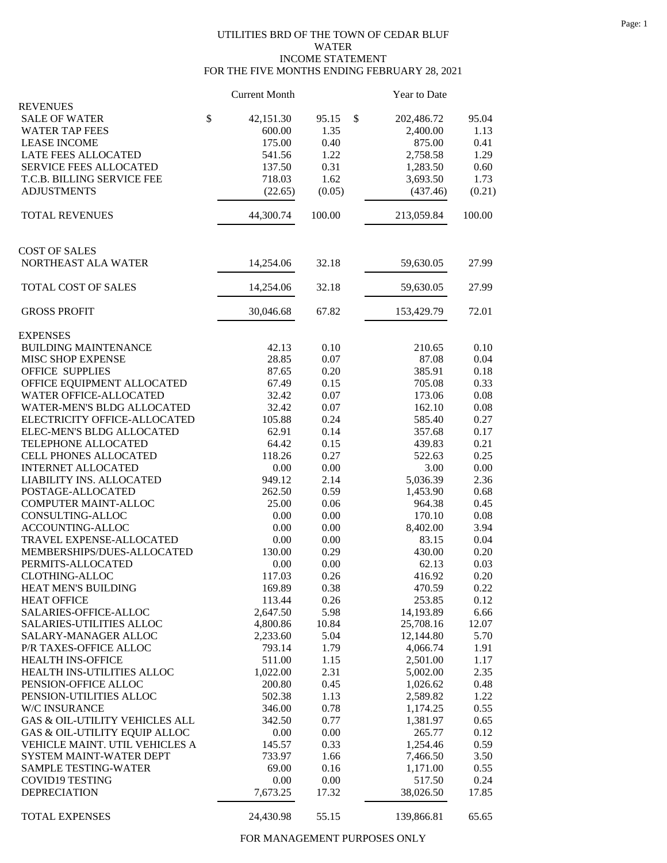## UTILITIES BRD OF THE TOWN OF CEDAR BLUF WATER INCOME STATEMENT FOR THE FIVE MONTHS ENDING FEBRUARY 28, 2021

|                                            | <b>Current Month</b> |              | <b>Year to Date</b>  |              |
|--------------------------------------------|----------------------|--------------|----------------------|--------------|
| <b>REVENUES</b>                            |                      |              |                      |              |
| <b>SALE OF WATER</b>                       | \$<br>42,151.30      | 95.15        | \$<br>202,486.72     | 95.04        |
| <b>WATER TAP FEES</b>                      | 600.00<br>175.00     | 1.35         | 2,400.00<br>875.00   | 1.13<br>0.41 |
| <b>LEASE INCOME</b><br>LATE FEES ALLOCATED |                      | 0.40<br>1.22 |                      | 1.29         |
|                                            | 541.56               |              | 2,758.58<br>1,283.50 | 0.60         |
| <b>SERVICE FEES ALLOCATED</b>              | 137.50               | 0.31         |                      |              |
| T.C.B. BILLING SERVICE FEE                 | 718.03               | 1.62         | 3,693.50             | 1.73         |
| <b>ADJUSTMENTS</b>                         | (22.65)              | (0.05)       | (437.46)             | (0.21)       |
| <b>TOTAL REVENUES</b>                      | 44,300.74            | 100.00       | 213,059.84           | 100.00       |
| <b>COST OF SALES</b>                       |                      |              |                      |              |
| NORTHEAST ALA WATER                        | 14,254.06            | 32.18        | 59,630.05            | 27.99        |
| TOTAL COST OF SALES                        |                      | 32.18        | 59,630.05            | 27.99        |
|                                            | 14,254.06            |              |                      |              |
| <b>GROSS PROFIT</b>                        | 30,046.68            | 67.82        | 153,429.79           | 72.01        |
| <b>EXPENSES</b>                            |                      |              |                      |              |
| <b>BUILDING MAINTENANCE</b>                | 42.13                | 0.10         | 210.65               | 0.10         |
| MISC SHOP EXPENSE                          | 28.85                | 0.07         | 87.08                | 0.04         |
| <b>OFFICE SUPPLIES</b>                     | 87.65                | 0.20         | 385.91               | 0.18         |
| OFFICE EQUIPMENT ALLOCATED                 | 67.49                | 0.15         | 705.08               | 0.33         |
| WATER OFFICE-ALLOCATED                     | 32.42                | 0.07         | 173.06               | 0.08         |
| WATER-MEN'S BLDG ALLOCATED                 | 32.42                | 0.07         | 162.10               | 0.08         |
| ELECTRICITY OFFICE-ALLOCATED               | 105.88               | 0.24         | 585.40               | 0.27         |
| ELEC-MEN'S BLDG ALLOCATED                  | 62.91                | 0.14         | 357.68               | 0.17         |
| TELEPHONE ALLOCATED                        | 64.42                | 0.15         | 439.83               | 0.21         |
| CELL PHONES ALLOCATED                      | 118.26               | 0.27         | 522.63               | 0.25         |
| <b>INTERNET ALLOCATED</b>                  | 0.00                 | 0.00         | 3.00                 | 0.00         |
| LIABILITY INS. ALLOCATED                   | 949.12               | 2.14         | 5,036.39             | 2.36         |
| POSTAGE-ALLOCATED                          | 262.50               | 0.59         | 1,453.90             | 0.68         |
| COMPUTER MAINT-ALLOC                       | 25.00                | 0.06         | 964.38               | 0.45         |
| CONSULTING-ALLOC                           | 0.00                 | 0.00         | 170.10               | 0.08         |
| ACCOUNTING-ALLOC                           | 0.00                 | 0.00         | 8,402.00             | 3.94         |
| TRAVEL EXPENSE-ALLOCATED                   | 0.00                 | 0.00         | 83.15                | 0.04         |
| MEMBERSHIPS/DUES-ALLOCATED                 | 130.00               | 0.29         | 430.00               | 0.20         |
| PERMITS-ALLOCATED                          | 0.00                 | 0.00         | 62.13                | 0.03         |
| CLOTHING-ALLOC                             | 117.03               | 0.26         | 416.92               | 0.20         |
| HEAT MEN'S BUILDING                        | 169.89               | 0.38         | 470.59               | 0.22         |
| <b>HEAT OFFICE</b>                         | 113.44               | 0.26         | 253.85               | 0.12         |
| SALARIES-OFFICE-ALLOC                      | 2,647.50             | 5.98         | 14,193.89            | 6.66         |
| <b>SALARIES-UTILITIES ALLOC</b>            | 4,800.86             | 10.84        | 25,708.16            | 12.07        |
| SALARY-MANAGER ALLOC                       | 2,233.60             | 5.04         | 12,144.80            | 5.70         |
| P/R TAXES-OFFICE ALLOC                     | 793.14               | 1.79         | 4,066.74             | 1.91         |
| HEALTH INS-OFFICE                          | 511.00               | 1.15         | 2,501.00             | 1.17         |
| HEALTH INS-UTILITIES ALLOC                 | 1,022.00             | 2.31         | 5,002.00             | 2.35         |
| PENSION-OFFICE ALLOC                       | 200.80               | 0.45         | 1,026.62             | 0.48         |
| PENSION-UTILITIES ALLOC                    | 502.38               | 1.13         | 2,589.82             | 1.22         |
| W/C INSURANCE                              | 346.00               | 0.78         | 1,174.25             | 0.55         |
| GAS & OIL-UTILITY VEHICLES ALL             | 342.50               | 0.77         | 1,381.97             | 0.65         |
| GAS & OIL-UTILITY EQUIP ALLOC              | 0.00                 | 0.00         | 265.77               | 0.12         |
| VEHICLE MAINT. UTIL VEHICLES A             | 145.57               | 0.33         | 1,254.46             | 0.59         |
| SYSTEM MAINT-WATER DEPT                    | 733.97               | 1.66         | 7,466.50             | 3.50         |
| SAMPLE TESTING-WATER                       | 69.00                | 0.16         | 1,171.00             | 0.55         |
| <b>COVID19 TESTING</b>                     | 0.00                 | 0.00         | 517.50               | 0.24         |
| <b>DEPRECIATION</b>                        | 7,673.25             | 17.32        | 38,026.50            | 17.85        |
| TOTAL EXPENSES                             | 24,430.98            | 55.15        | 139,866.81           | 65.65        |